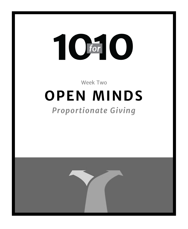# T C for

# Week Two **OPEN MINDS**

# *Proportionate Giving*

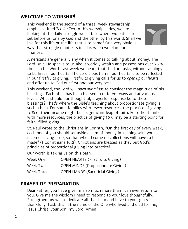# **WELCOME TO WORSHIP!**

This weekend is the second of a three-week stewardship emphasis titled *Ten for Ten.* In this worship series, we are looking at the daily struggle we all face when two paths are set before us, one by God and the other by this world. Shall we live for this life or the life that is to come? One very obvious way that struggle manifests itself is when we plan our finances.



Americans are generally shy when it comes to talking about money. The Lord isn't. He speaks to us about worldly wealth and possessions over 2,300 times in his Word. Last week we heard that the Lord asks, without apology, to be first in our hearts. The Lord's position in our hearts is to be reflected in our firstfruits giving. Firstfruits giving calls for us to *open up our hearts* and offer up to God our first and our very best.

This weekend, the Lord will *open our minds* to consider the magnitude of his blessings. Each of us has been blessed in different ways and at various levels. What should our thoughtful, prayerful response be to these blessings? That's where the Bible's teaching about proportionate giving is such a help. For some families with fewer resources, the practice of giving 10% of their income might be a significant leap of faith. For other families with more resources, the practice of giving 10% may be a starting point for faith-filled giving.

St. Paul wrote to the Christians in Corinth, "On the first day of every week, each one of you should set aside a sum of money in keeping with your income, saving it up, so that when I come no collections will have to be made" (1 Corinthians 16:2). Christians are blessed as they put God's principles of proportional giving into practice!

Our worth is taking us on this path:

| Week One:   | <b>OPEN HEARTS (Firstfruits Giving)</b>  |
|-------------|------------------------------------------|
| Week Two:   | <b>OPEN MINDS (Proportionate Giving)</b> |
| Week Three: | <b>OPEN HANDS (Sacrificial Giving)</b>   |

# **PRAYER OF PREPARATION**

Dear Father, you have given me so much more than I can ever return to you. Give me the wisdom I need to respond to your love thoughtfully. Strengthen my will to dedicate all that I am and have to your glory thankfully. I ask this in the name of the One who lived and died for me, Jesus Christ, your Son, my Lord. Amen.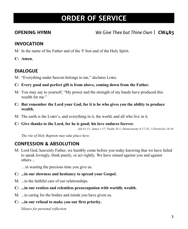# **ORDER OF SERVICE**

**OPENING HYMN** *We Give Thee but Thine Own* | **CW485**

# **INVOCATION**

- M: In the name of the Father and of the  $\ddagger$  Son and of the Holy Spirit.
- **C: Amen.**

# **DIALOGUE**

- M: "Everything under heaven belongs to me," declares LORD.
- **C: Every good and perfect gift is from above, coming down from the Father.**
- M: You may say to yourself, "My power and the strength of my hands have produced this wealth for me"
- **C: But remember the Lord your God, for it is he who gives you the ability to produce wealth.**
- M: The earth is the LORD's, and everything in it, the world, and all who live in it.
- **C: Give thanks to the Lord, for he is good; his love endures forever.**

*Job 41:11; James 1:17; Psalm 24:1; Deuteronomy 8:17,18; 1 Chronicles 16:34*

*The rite of Holy Baptism may take place here.*

# **CONFESSION & ABSOLUTION**

M: Lord God, heavenly Father, we humbly come before you today knowing that we have failed to speak lovingly, think purely, or act rightly. We have sinned against you and against others…

…in wasting the precious time you give us.

- **C: ...in our slowness and hesitancy to spread your Gospel.**
- M: ...in the faithful care of our relationships.
- **C: ...in our restless and relentless preoccupation with worldly wealth.**
- M: ...in caring for the bodies and minds you have given us.
- **C: ...in our refusal to make you our first priority.**

*Silence for personal reflection*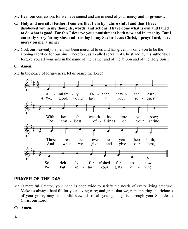- M: Hear our confession, for we have sinned and are in need of your mercy and forgiveness.
- **C: Holy and merciful Father, I confess that I am by nature sinful and that I have disobeyed you in my thoughts, words, and actions. I have done what is evil and failed to do what is good. For this I deserve your punishment both now and in eternity. But I am truly sorry for my sins, and trusting in my Savior Jesus Christ, I pray: Lord, have mercy on me, a sinner.**
- M: God, our heavenly Father, has been merciful to us and has given his only Son to be the atoning sacrifice for our sins. Therefore, as a called servant of Christ and by his authority, I forgive you all your sins in the name of the Father and of the  $\mathbb{F}$  Son and of the Holy Spirit.

# **C: Amen.**

M: In the peace of forgiveness, let us praise the Lord!



# **PRAYER OF THE DAY**

M: O merciful Creator, your hand is open wide to satisfy the needs of every living creature. Make us always thankful for your loving care; and grant that we, remembering the richness of your grace, may be faithful stewards of all your good gifts; through your Son, Jesus Christ our Lord.

# **C: Amen.**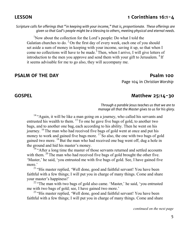# **LESSON 1 Corinthians 16:1-4**

*Scripture calls for offerings that "in keeping with your income," that is, proportionate. These offerings are given so that God's people might be a blessing to others, meeting physical and eternal needs.*

<sup>1</sup>Now about the collection for the Lord's people: Do what I told the Galatian churches to do.  $2^{\circ}$ On the first day of every week, each one of you should set aside a sum of money in keeping with your income, saving it up, so that when I come no collections will have to be made.<sup>3</sup> Then, when I arrive, I will give letters of introduction to the men you approve and send them with your gift to Jerusalem.<sup>4</sup> If it seems advisable for me to go also, they will accompany me.

# **PSALM OF THE DAY Psalm 100**

Page 104 in *Christian Worship*

# **GOSPEL Matthew 25:14-30**

*Through a parable Jesus teaches us that we are to manage all that the Master gives to us for his glory.*

 $14$  "Again, it will be like a man going on a journey, who called his servants and entrusted his wealth to them. <sup>15</sup> To one he gave five bags of gold, to another two bags, and to another one bag, each according to his ability. Then he went on his journey. <sup>16</sup> The man who had received five bags of gold went at once and put his money to work and gained five bags more.  $17\overline{So}$  also, the one with two bags of gold gained two more.  $^{18}$  But the man who had received one bag went off, dug a hole in the ground and hid his master's money.

 $19$  "After a long time the master of those servants returned and settled accounts with them.  $20$  The man who had received five bags of gold brought the other five. 'Master,' he said, 'you entrusted me with five bags of gold. See, I have gained five more.'

<sup>21</sup> "His master replied, 'Well done, good and faithful servant! You have been faithful with a few things; I will put you in charge of many things. Come and share your master's happiness!'

 $22$  "The man with two bags of gold also came. 'Master,' he said, 'you entrusted me with two bags of gold; see, I have gained two more.'

<sup>23</sup> "His master replied, 'Well done, good and faithful servant! You have been faithful with a few things; I will put you in charge of many things. Come and share

*continued on the next page*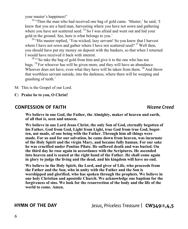your master's happiness!'

 $24$  "Then the man who had received one bag of gold came. 'Master,' he said, 'I knew that you are a hard man, harvesting where you have not sown and gathering where you have not scattered seed.  $^{25}$  So I was afraid and went out and hid your gold in the ground. See, here is what belongs to you.'

 $26$  "His master replied, 'You wicked, lazy servant! So you knew that I harvest where I have not sown and gather where I have not scattered seed?  $27$  Well then, you should have put my money on deposit with the bankers, so that when I returned I would have received it back with interest.

<sup>28</sup> "So take the bag of gold from him and give it to the one who has ten bags. <sup>29</sup> For whoever has will be given more, and they will have an abundance. Whoever does not have, even what they have will be taken from them. <sup>30</sup> And throw that worthless servant outside, into the darkness, where there will be weeping and gnashing of teeth.'

M: This is the Gospel of our Lord.

**C: Praise be to you, O Christ!**

# **CONFESSION OF FAITH** *Nicene Creed*

**We believe in one God, the Father, the Almighty, maker of heaven and earth, of all that is, seen and unseen.**

**We believe in one Lord Jesus Christ, the only Son of God, eternally begotten of his Father, God from God, Light from Light, true God from true God, begotten, not made, of one being with the Father. Through him all things were made. For us and for our salvation, he came down from heaven, was incarnate of the Holy Spirit and the virgin Mary, and became fully human. For our sake he was crucified under Pontius Pilate. He suffered death and was buried. On the third day he rose again in accordance with the Scriptures. He ascended into heaven and is seated at the right hand of the Father. He shall come again in glory to judge the living and the dead, and his kingdom will have no end.**

**We believe in the Holy Spirit, the Lord, and giver of Life, who proceeds from the Father and the Son, who in unity with the Father and the Son is worshipped and glorified, who has spoken through the prophets. We believe in one holy Christian and apostolic Church. We acknowledge one baptism for the forgiveness of sins. We look for the resurrection of the body and the life of the world to come. Amen.** 

**HYMN OF THE DAY** *Jesus, Priceless Treasure* | **CW349:1,4,5**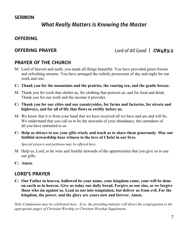# **SERMON**

# *What Really Matters Is Knowing the Master*

# **OFFERING**

# **OFFERING PRAYER** *Lord of All Good* | **CW483:2**

# **PRAYER OF THE CHURCH**

- M: Lord of heaven and earth, you made all things beautiful. You have provided green forests and refreshing streams. You have arranged the orderly procession of day and night for our work and rest.
- **C: Thank you for the mountains and the prairies, the roaring sea, and the gentle breeze.**
- M: Thank you for roofs that shelter us, for clothing that protects us, and for food and drink. Thank you for our work and the income it provides.
- **C: Thank you for our cities and our countrysides, for farms and factories, for streets and highways, and for all of life that flows so swiftly before us.**
- M: We know that it is from your hand that we have received all we have and are and will be. We understand that you call us to be the stewards of your abundance, the caretakers of all you have entrusted to us.
- **C: Help us always to use your gifts wisely and teach us to share them generously. May our faithful stewardship bear witness to the love of Christ in our lives.**

*Special prayers and petitions may be offered here.*

- M: Help us, Lord, to be wise and fruitful stewards of the opportunities that you give us to use our gifts.
- **C: Amen.**

# **LORD'S PRAYER**

**C: Our Father in heaven, hallowed be your name, your kingdom come, your will be done on earth as in heaven. Give us today our daily bread. Forgive us our sins, as we forgive those who sin against us. Lead us not into temptation, but deliver us from evil. For the kingdom, the power, and the glory are yours now and forever. Amen.**

*Holy Communion may be celebrated here. If so, the presiding minister will direct the congregation to the appropriate pages of Christian Worship or Christian Worship Supplement.*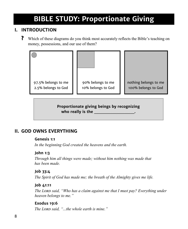# **BIBLE STUDY: Proportionate Giving**

# **I. INTRODUCTION**

**?** Which of these diagrams do you think most accurately reflects the Bible's teaching on money, possessions, and our use of them?



**Proportionate giving beings by recognizing who really is the whole really is the strategy of the strategy of the strategy of the strategy of the strategy of the strategy of the strategy of the strategy of the strategy of the strategy of the strategy of the strateg** 

# **II. GOD OWNS EVERYTHING**

### **Genesis 1:1**

*In the beginning God created the heavens and the earth.*

## **John 1:3**

*Through him all things were made; without him nothing was made that has been made.*

## **Job 33:4**

*The Spirit of God has made me; the breath of the Almighty gives me life.*

# **Job 41:11**

*The Lord said, "Who has a claim against me that I must pay? Everything under heaven belongs to me."* 

# **Exodus 19:6**

*The Lord said, "...the whole earth is mine."*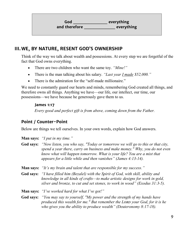**God \_\_\_\_\_\_\_\_\_\_\_ everything and therefore \_\_\_\_\_\_\_\_\_\_ everything**

# **III.WE, BY NATURE, RESENT GOD'S OWNERSHIP**

Think of the way we talk about wealth and possessions. At every step we are forgetful of the fact that God owns everything.

- There are two children who want the same toy. *"Mine!"*
- There is the man talking about his salary. *"Last year I made \$52,000."*
- There is the admiration for the "self-made millionaire."

We need to constantly guard our hearts and minds, remembering God created all things, and therefore owns all things. Anything we have—our life, our intellect, our time, our possessions—we have because he generously gave them to us.

### **James 1:17**

*Every good and perfect gift is from above, coming down from the Father.*

# **Point / Counter-Point**

Below are things we tell ourselves. In your own words, explain how God answers.

- **Man says:** *"I put in my time."*
- **God says:** *"Now listen, you who say, "Today or tomorrow we will go to this or that city, spend a year there, carry on business and make money." Why, you do not even know what will happen tomorrow. What is your life? You are a mist that appears for a little while and then vanishes" (James 4:13-14).*
- **Man says:** *"It's my brain and talent that are responsible for my success."*
- **God says:** *"I have filled him (Bezalel) with the Spirit of God, with skill, ability and knowledge in all kinds of crafts—to make artistic designs for work in gold, silver and bronze, to cut and set stones, to work in wood" (Exodus 31:3-5).*

**Man says:** *"I've worked hard for what I've got!"*

**God says:** *"You may say to yourself, "My power and the strength of my hands have produced this wealth for me." But remember the Lord your God, for it is he who gives you the ability to produce wealth" (Deuteronomy 8:17-18).*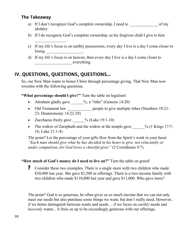# **The Takeaway**

- a) If I don't recognize God's complete ownership, I need to of my idolatry.
- b) If I do recognize God's complete ownership, as his forgiven child I give to him
- c) If my life's focus is on earthly possessions, every day I live is a day I come closer to losing \_\_\_\_\_\_\_\_\_\_\_\_\_\_\_\_\_\_\_\_\_\_\_.
- d) If my life's focus is on heaven, then every day I live is a day I come closer to everything.

# **IV. QUESTIONS, QUESTIONS, QUESTIONS…**

 $\mathcal{L}=\mathcal{L}^{\text{max}}$ 

So, our New Man wants to honor Christ through percentage giving. That New Man now wrestles with the following questions.

**"What percentage should I give?"** Turn the table on legalism!

- Abraham gladly gave  $\frac{\%}{\%}$ , a "tithe" (Genesis 14:20)
- Old Testament law \_\_\_\_\_\_\_\_\_\_\_\_\_\_ people to give multiple tithes (Numbers 18:21-23; Deuteronomy 14:22-29)
- Zacchaeus freely gave  $\frac{\%}{\%}$  (Luke 19:1-10)
- The widow of Zarephath and the widow at the temple gave  $\%$  (1 Kings 17:7-16; Luke 21:1-4)

The point? Let the percentage of your gifts flow from the Spirit's work in your heart. *"Each man should give what he has decided in his heart to give, not reluctantly or under compulsion, for God loves a cheerful giver"* (2 Corinthians 9:7).

# **"How much of God's money do I need to live on?"** Turn the table on greed!

**?** Consider these two examples. There is a single mom with two children who made \$30,000 last year. She gave \$2,500 in offerings. There is a two-income family with two children who made \$110,000 last year and gave \$11,000. Who gave more?

The point? God is so generous, he often gives us so much income that we can not only meet our needs but also purchase some things we want, but don't really need. However, if we better distinguish between wants and needs… if we focus on *earthly* needs and *heavenly* wants... it frees us up to be exceedingly generous with our offerings.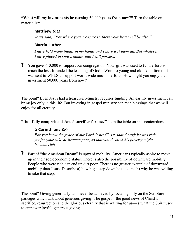**"What will my investments be earning 50,000 years from now?"** Turn the table on materialism!

# **Matthew 6:21**

*Jesus said, "For where your treasure is, there your heart will be also."*

# **Martin Luther**

*I have held many things in my hands and I have lost them all. But whatever I have placed in God's hands, that I still possess.*

**?** You gave \$10,000 to support our congregation. Your gift was used to fund efforts to reach the lost. It funded the teaching of God's Word to young and old. A portion of it was sent to WELS to support world-wide mission efforts. How might you enjoy that investment 50,000 years from now?

The point? Even Jesus had a treasurer. Ministry requires funding. An earthly investment can bring joy only in this life. But investing in gospel ministry can reap blessings that we will enjoy for all eternity.

**"Do I fully comprehend Jesus' sacrifice for me?"** Turn the table on self-centeredness!

# **2 Corinthians 8:9**

*For you know the grace of our Lord Jesus Christ, that though he was rich, yet for your sake he became poor, so that you through his poverty might become rich.*

**?** Part of "the American Dream" is upward mobility. Americans typically aspire to move up in their socioeconomic status. There is also the possibility of downward mobility. People who were rich can end up dirt poor. There is no greater example of downward mobility than Jesus. Describe a) how big a step down he took and b) why he was willing to take that step.

The point? Giving generously will never be achieved by focusing only on the Scripture passages which talk about generous giving! The gospel—the good news of Christ's sacrifice, resurrection and the glorious eternity that is waiting for us—is what the Spirit uses to empower joyful, generous giving.